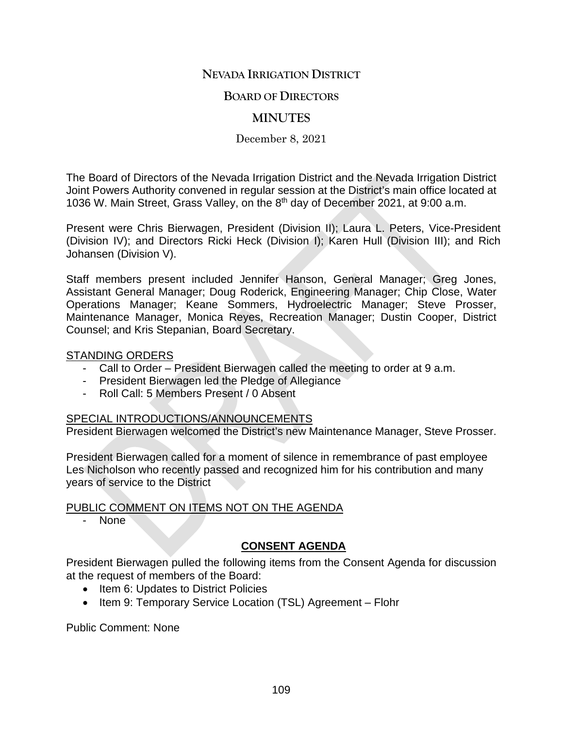# **NEVADA IRRIGATION DISTRICT**

### **BOARD OF DIRECTORS**

# **MINUTES**

December 8, 2021

The Board of Directors of the Nevada Irrigation District and the Nevada Irrigation District Joint Powers Authority convened in regular session at the District's main office located at 1036 W. Main Street, Grass Valley, on the 8th day of December 2021, at 9:00 a.m.

Present were Chris Bierwagen, President (Division II); Laura L. Peters, Vice-President (Division IV); and Directors Ricki Heck (Division I); Karen Hull (Division III); and Rich Johansen (Division V).

Staff members present included Jennifer Hanson, General Manager; Greg Jones, Assistant General Manager; Doug Roderick, Engineering Manager; Chip Close, Water Operations Manager; Keane Sommers, Hydroelectric Manager; Steve Prosser, Maintenance Manager, Monica Reyes, Recreation Manager; Dustin Cooper, District Counsel; and Kris Stepanian, Board Secretary.

#### STANDING ORDERS

- Call to Order President Bierwagen called the meeting to order at 9 a.m.
- President Bierwagen led the Pledge of Allegiance
- Roll Call: 5 Members Present / 0 Absent

#### SPECIAL INTRODUCTIONS/ANNOUNCEMENTS

President Bierwagen welcomed the District's new Maintenance Manager, Steve Prosser.

President Bierwagen called for a moment of silence in remembrance of past employee Les Nicholson who recently passed and recognized him for his contribution and many years of service to the District

# PUBLIC COMMENT ON ITEMS NOT ON THE AGENDA

None

# **CONSENT AGENDA**

President Bierwagen pulled the following items from the Consent Agenda for discussion at the request of members of the Board:

- Item 6: Updates to District Policies
- Item 9: Temporary Service Location (TSL) Agreement Flohr

Public Comment: None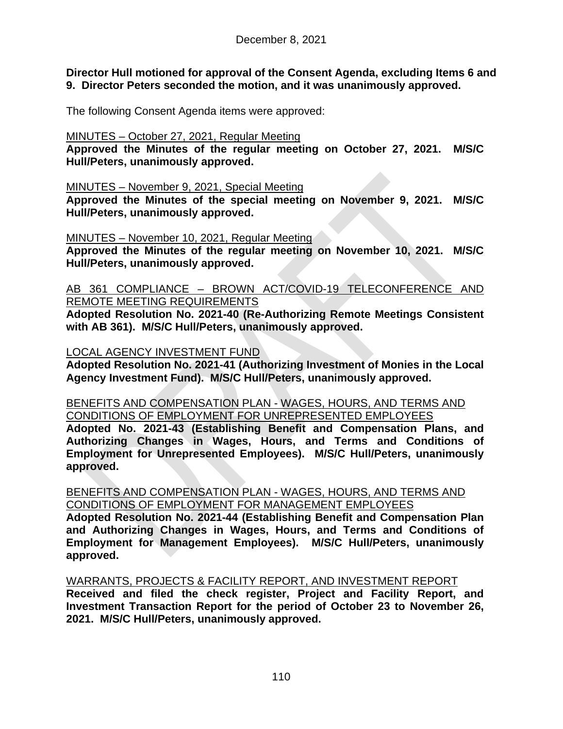**Director Hull motioned for approval of the Consent Agenda, excluding Items 6 and 9. Director Peters seconded the motion, and it was unanimously approved.**

The following Consent Agenda items were approved:

MINUTES – October 27, 2021, Regular Meeting

**Approved the Minutes of the regular meeting on October 27, 2021. M/S/C Hull/Peters, unanimously approved.**

MINUTES – November 9, 2021, Special Meeting

**Approved the Minutes of the special meeting on November 9, 2021. M/S/C Hull/Peters, unanimously approved.**

MINUTES – November 10, 2021, Regular Meeting

**Approved the Minutes of the regular meeting on November 10, 2021. M/S/C Hull/Peters, unanimously approved.**

AB 361 COMPLIANCE – BROWN ACT/COVID-19 TELECONFERENCE AND REMOTE MEETING REQUIREMENTS

**Adopted Resolution No. 2021-40 (Re-Authorizing Remote Meetings Consistent with AB 361). M/S/C Hull/Peters, unanimously approved.**

# LOCAL AGENCY INVESTMENT FUND

**Adopted Resolution No. 2021-41 (Authorizing Investment of Monies in the Local Agency Investment Fund). M/S/C Hull/Peters, unanimously approved.**

#### BENEFITS AND COMPENSATION PLAN - WAGES, HOURS, AND TERMS AND CONDITIONS OF EMPLOYMENT FOR UNREPRESENTED EMPLOYEES

**Adopted No. 2021-43 (Establishing Benefit and Compensation Plans, and Authorizing Changes in Wages, Hours, and Terms and Conditions of Employment for Unrepresented Employees). M/S/C Hull/Peters, unanimously approved.**

### BENEFITS AND COMPENSATION PLAN - WAGES, HOURS, AND TERMS AND CONDITIONS OF EMPLOYMENT FOR MANAGEMENT EMPLOYEES

**Adopted Resolution No. 2021-44 (Establishing Benefit and Compensation Plan and Authorizing Changes in Wages, Hours, and Terms and Conditions of Employment for Management Employees). M/S/C Hull/Peters, unanimously approved.**

WARRANTS, PROJECTS & FACILITY REPORT, AND INVESTMENT REPORT

**Received and filed the check register, Project and Facility Report, and Investment Transaction Report for the period of October 23 to November 26, 2021. M/S/C Hull/Peters, unanimously approved.**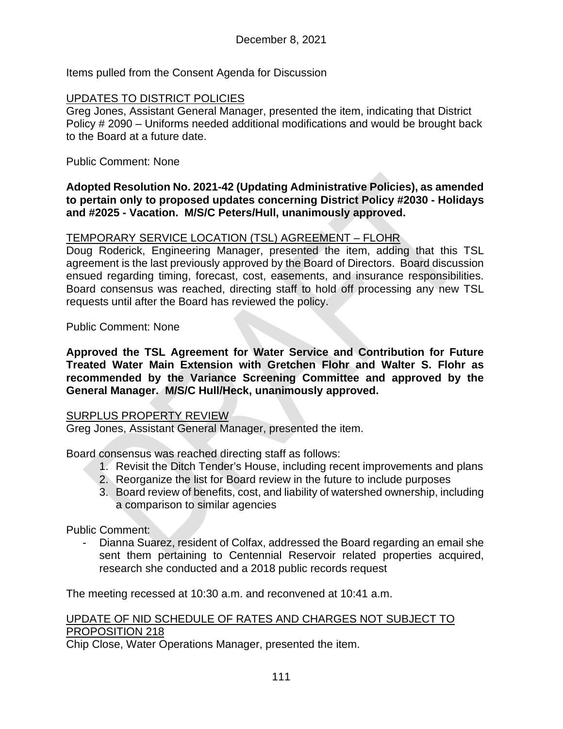Items pulled from the Consent Agenda for Discussion

### UPDATES TO DISTRICT POLICIES

Greg Jones, Assistant General Manager, presented the item, indicating that District Policy # 2090 – Uniforms needed additional modifications and would be brought back to the Board at a future date.

#### Public Comment: None

#### **Adopted Resolution No. 2021-42 (Updating Administrative Policies), as amended to pertain only to proposed updates concerning District Policy #2030 - Holidays and #2025 - Vacation. M/S/C Peters/Hull, unanimously approved.**

# TEMPORARY SERVICE LOCATION (TSL) AGREEMENT – FLOHR

Doug Roderick, Engineering Manager, presented the item, adding that this TSL agreement is the last previously approved by the Board of Directors. Board discussion ensued regarding timing, forecast, cost, easements, and insurance responsibilities. Board consensus was reached, directing staff to hold off processing any new TSL requests until after the Board has reviewed the policy.

### Public Comment: None

**Approved the TSL Agreement for Water Service and Contribution for Future Treated Water Main Extension with Gretchen Flohr and Walter S. Flohr as recommended by the Variance Screening Committee and approved by the General Manager. M/S/C Hull/Heck, unanimously approved.**

#### SURPLUS PROPERTY REVIEW

Greg Jones, Assistant General Manager, presented the item.

Board consensus was reached directing staff as follows:

- 1. Revisit the Ditch Tender's House, including recent improvements and plans
- 2. Reorganize the list for Board review in the future to include purposes
- 3. Board review of benefits, cost, and liability of watershed ownership, including a comparison to similar agencies

Public Comment:

Dianna Suarez, resident of Colfax, addressed the Board regarding an email she sent them pertaining to Centennial Reservoir related properties acquired, research she conducted and a 2018 public records request

The meeting recessed at 10:30 a.m. and reconvened at 10:41 a.m.

# UPDATE OF NID SCHEDULE OF RATES AND CHARGES NOT SUBJECT TO PROPOSITION 218

Chip Close, Water Operations Manager, presented the item.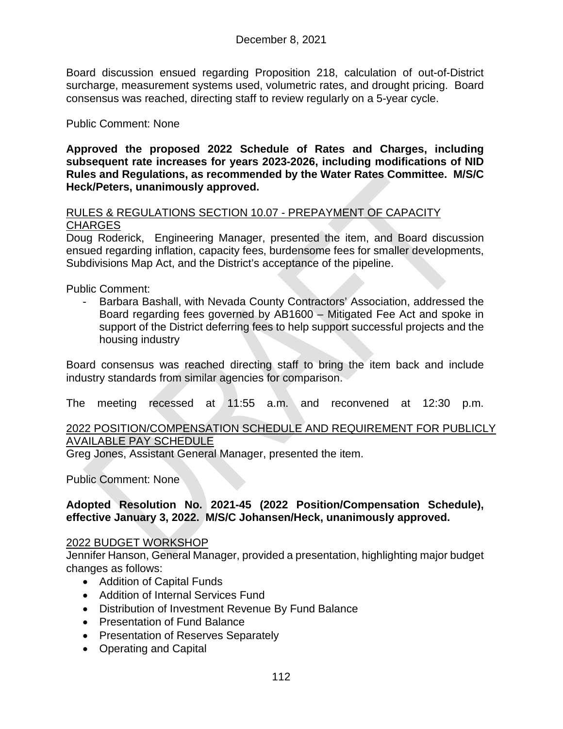Board discussion ensued regarding Proposition 218, calculation of out-of-District surcharge, measurement systems used, volumetric rates, and drought pricing. Board consensus was reached, directing staff to review regularly on a 5-year cycle.

# Public Comment: None

**Approved the proposed 2022 Schedule of Rates and Charges, including subsequent rate increases for years 2023-2026, including modifications of NID Rules and Regulations, as recommended by the Water Rates Committee. M/S/C Heck/Peters, unanimously approved.**

### RULES & REGULATIONS SECTION 10.07 - PREPAYMENT OF CAPACITY **CHARGES**

Doug Roderick, Engineering Manager, presented the item, and Board discussion ensued regarding inflation, capacity fees, burdensome fees for smaller developments, Subdivisions Map Act, and the District's acceptance of the pipeline.

Public Comment:

Barbara Bashall, with Nevada County Contractors' Association, addressed the Board regarding fees governed by AB1600 – Mitigated Fee Act and spoke in support of the District deferring fees to help support successful projects and the housing industry

Board consensus was reached directing staff to bring the item back and include industry standards from similar agencies for comparison.

The meeting recessed at 11:55 a.m. and reconvened at 12:30 p.m.

# 2022 POSITION/COMPENSATION SCHEDULE AND REQUIREMENT FOR PUBLICLY AVAILABLE PAY SCHEDULE

Greg Jones, Assistant General Manager, presented the item.

Public Comment: None

#### **Adopted Resolution No. 2021-45 (2022 Position/Compensation Schedule), effective January 3, 2022. M/S/C Johansen/Heck, unanimously approved.**

#### 2022 BUDGET WORKSHOP

Jennifer Hanson, General Manager, provided a presentation, highlighting major budget changes as follows:

- Addition of Capital Funds
- Addition of Internal Services Fund
- Distribution of Investment Revenue By Fund Balance
- Presentation of Fund Balance
- Presentation of Reserves Separately
- Operating and Capital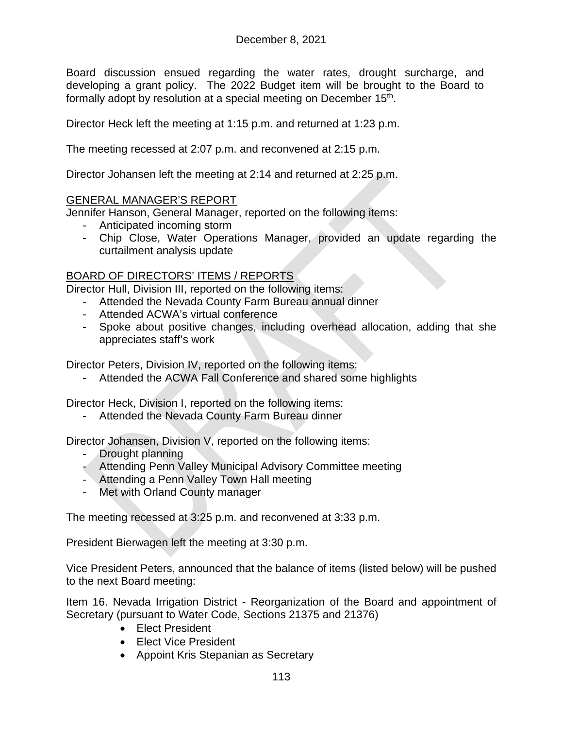Board discussion ensued regarding the water rates, drought surcharge, and developing a grant policy. The 2022 Budget item will be brought to the Board to formally adopt by resolution at a special meeting on December 15<sup>th</sup>.

Director Heck left the meeting at 1:15 p.m. and returned at 1:23 p.m.

The meeting recessed at 2:07 p.m. and reconvened at 2:15 p.m.

Director Johansen left the meeting at 2:14 and returned at 2:25 p.m.

### GENERAL MANAGER'S REPORT

Jennifer Hanson, General Manager, reported on the following items:

- Anticipated incoming storm
- Chip Close, Water Operations Manager, provided an update regarding the curtailment analysis update

# BOARD OF DIRECTORS' ITEMS / REPORTS

Director Hull, Division III, reported on the following items:

- Attended the Nevada County Farm Bureau annual dinner
- Attended ACWA's virtual conference
- Spoke about positive changes, including overhead allocation, adding that she appreciates staff's work

Director Peters, Division IV, reported on the following items:

Attended the ACWA Fall Conference and shared some highlights

Director Heck, Division I, reported on the following items:

- Attended the Nevada County Farm Bureau dinner

Director Johansen, Division V, reported on the following items:

- Drought planning
- Attending Penn Valley Municipal Advisory Committee meeting
- Attending a Penn Valley Town Hall meeting
- Met with Orland County manager

The meeting recessed at 3:25 p.m. and reconvened at 3:33 p.m.

President Bierwagen left the meeting at 3:30 p.m.

Vice President Peters, announced that the balance of items (listed below) will be pushed to the next Board meeting:

Item 16. Nevada Irrigation District - Reorganization of the Board and appointment of Secretary (pursuant to Water Code, Sections 21375 and 21376)

- Elect President
- Elect Vice President
- Appoint Kris Stepanian as Secretary